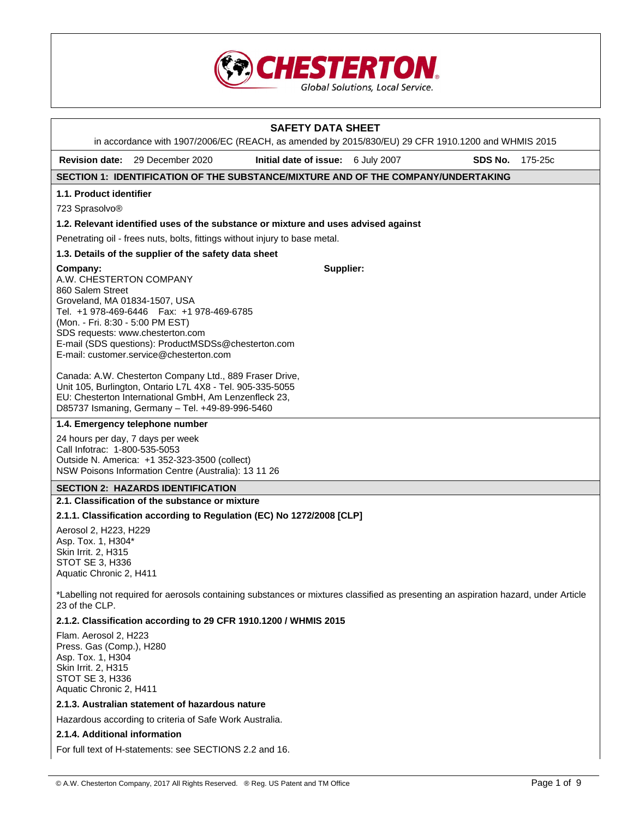

|                                                                                                                                                               |                                                                                                                                                                                                                                                                                                                                                                                                                                                                                               | <b>SAFETY DATA SHEET</b><br>in accordance with 1907/2006/EC (REACH, as amended by 2015/830/EU) 29 CFR 1910.1200 and WHMIS 2015      |         |         |
|---------------------------------------------------------------------------------------------------------------------------------------------------------------|-----------------------------------------------------------------------------------------------------------------------------------------------------------------------------------------------------------------------------------------------------------------------------------------------------------------------------------------------------------------------------------------------------------------------------------------------------------------------------------------------|-------------------------------------------------------------------------------------------------------------------------------------|---------|---------|
|                                                                                                                                                               | <b>Revision date:</b> 29 December 2020                                                                                                                                                                                                                                                                                                                                                                                                                                                        | Initial date of issue: 6 July 2007                                                                                                  | SDS No. | 175-25c |
|                                                                                                                                                               |                                                                                                                                                                                                                                                                                                                                                                                                                                                                                               | SECTION 1: IDENTIFICATION OF THE SUBSTANCE/MIXTURE AND OF THE COMPANY/UNDERTAKING                                                   |         |         |
| 1.1. Product identifier                                                                                                                                       |                                                                                                                                                                                                                                                                                                                                                                                                                                                                                               |                                                                                                                                     |         |         |
| 723 Sprasolvo®                                                                                                                                                |                                                                                                                                                                                                                                                                                                                                                                                                                                                                                               |                                                                                                                                     |         |         |
|                                                                                                                                                               |                                                                                                                                                                                                                                                                                                                                                                                                                                                                                               | 1.2. Relevant identified uses of the substance or mixture and uses advised against                                                  |         |         |
|                                                                                                                                                               | Penetrating oil - frees nuts, bolts, fittings without injury to base metal.                                                                                                                                                                                                                                                                                                                                                                                                                   |                                                                                                                                     |         |         |
|                                                                                                                                                               | 1.3. Details of the supplier of the safety data sheet                                                                                                                                                                                                                                                                                                                                                                                                                                         |                                                                                                                                     |         |         |
| Company:<br>A.W. CHESTERTON COMPANY<br>860 Salem Street<br>Groveland, MA 01834-1507, USA<br>(Mon. - Fri. 8:30 - 5:00 PM EST)<br>Call Infotrac: 1-800-535-5053 | Tel. +1 978-469-6446   Fax: +1 978-469-6785<br>SDS requests: www.chesterton.com<br>E-mail (SDS questions): ProductMSDSs@chesterton.com<br>E-mail: customer.service@chesterton.com<br>Canada: A.W. Chesterton Company Ltd., 889 Fraser Drive,<br>Unit 105, Burlington, Ontario L7L 4X8 - Tel. 905-335-5055<br>EU: Chesterton International GmbH, Am Lenzenfleck 23,<br>D85737 Ismaning, Germany - Tel. +49-89-996-5460<br>1.4. Emergency telephone number<br>24 hours per day, 7 days per week | Supplier:                                                                                                                           |         |         |
|                                                                                                                                                               | Outside N. America: +1 352-323-3500 (collect)<br>NSW Poisons Information Centre (Australia): 13 11 26                                                                                                                                                                                                                                                                                                                                                                                         |                                                                                                                                     |         |         |
|                                                                                                                                                               | <b>SECTION 2: HAZARDS IDENTIFICATION</b>                                                                                                                                                                                                                                                                                                                                                                                                                                                      |                                                                                                                                     |         |         |
|                                                                                                                                                               | 2.1. Classification of the substance or mixture                                                                                                                                                                                                                                                                                                                                                                                                                                               |                                                                                                                                     |         |         |
| Aerosol 2, H223, H229<br>Asp. Tox. 1, H304*<br>Skin Irrit. 2, H315<br>STOT SE 3, H336<br>Aquatic Chronic 2, H411                                              |                                                                                                                                                                                                                                                                                                                                                                                                                                                                                               | 2.1.1. Classification according to Regulation (EC) No 1272/2008 [CLP]                                                               |         |         |
| 23 of the CLP.                                                                                                                                                |                                                                                                                                                                                                                                                                                                                                                                                                                                                                                               | *Labelling not required for aerosols containing substances or mixtures classified as presenting an aspiration hazard, under Article |         |         |
|                                                                                                                                                               |                                                                                                                                                                                                                                                                                                                                                                                                                                                                                               | 2.1.2. Classification according to 29 CFR 1910.1200 / WHMIS 2015                                                                    |         |         |
| Flam. Aerosol 2, H223<br>Press. Gas (Comp.), H280<br>Asp. Tox. 1, H304<br>Skin Irrit. 2, H315<br>STOT SE 3, H336<br>Aquatic Chronic 2, H411                   |                                                                                                                                                                                                                                                                                                                                                                                                                                                                                               |                                                                                                                                     |         |         |
|                                                                                                                                                               | 2.1.3. Australian statement of hazardous nature                                                                                                                                                                                                                                                                                                                                                                                                                                               |                                                                                                                                     |         |         |
|                                                                                                                                                               | Hazardous according to criteria of Safe Work Australia.                                                                                                                                                                                                                                                                                                                                                                                                                                       |                                                                                                                                     |         |         |
| 2.1.4. Additional information                                                                                                                                 |                                                                                                                                                                                                                                                                                                                                                                                                                                                                                               |                                                                                                                                     |         |         |
|                                                                                                                                                               | For full text of H-statements: see SECTIONS 2.2 and 16.                                                                                                                                                                                                                                                                                                                                                                                                                                       |                                                                                                                                     |         |         |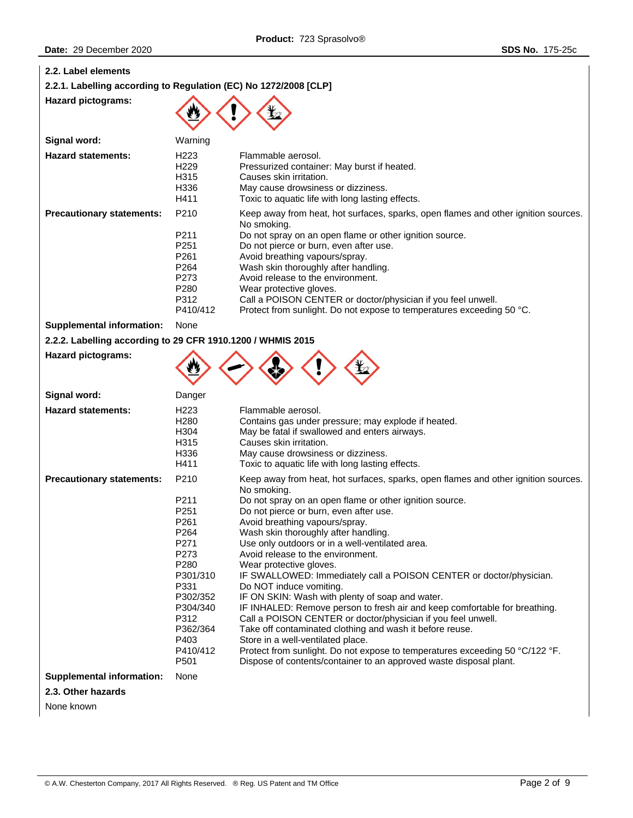| 2.2. Label elements                                              |                                                                                                                                                                      |                                                                                                                                                                                                                                                                                                                                                                                                                                                                                                                                                                                                                                                                                                                                                                                                                                                                                                                                                               |
|------------------------------------------------------------------|----------------------------------------------------------------------------------------------------------------------------------------------------------------------|---------------------------------------------------------------------------------------------------------------------------------------------------------------------------------------------------------------------------------------------------------------------------------------------------------------------------------------------------------------------------------------------------------------------------------------------------------------------------------------------------------------------------------------------------------------------------------------------------------------------------------------------------------------------------------------------------------------------------------------------------------------------------------------------------------------------------------------------------------------------------------------------------------------------------------------------------------------|
| 2.2.1. Labelling according to Regulation (EC) No 1272/2008 [CLP] |                                                                                                                                                                      |                                                                                                                                                                                                                                                                                                                                                                                                                                                                                                                                                                                                                                                                                                                                                                                                                                                                                                                                                               |
| <b>Hazard pictograms:</b>                                        |                                                                                                                                                                      |                                                                                                                                                                                                                                                                                                                                                                                                                                                                                                                                                                                                                                                                                                                                                                                                                                                                                                                                                               |
| Signal word:                                                     | Warning                                                                                                                                                              |                                                                                                                                                                                                                                                                                                                                                                                                                                                                                                                                                                                                                                                                                                                                                                                                                                                                                                                                                               |
| <b>Hazard statements:</b>                                        | H <sub>223</sub><br>H <sub>229</sub><br>H315<br>H336<br>H411                                                                                                         | Flammable aerosol.<br>Pressurized container: May burst if heated.<br>Causes skin irritation.<br>May cause drowsiness or dizziness.<br>Toxic to aquatic life with long lasting effects.                                                                                                                                                                                                                                                                                                                                                                                                                                                                                                                                                                                                                                                                                                                                                                        |
| <b>Precautionary statements:</b>                                 | P210<br>P211<br>P251<br>P261<br>P264<br>P273<br>P280<br>P312<br>P410/412                                                                                             | Keep away from heat, hot surfaces, sparks, open flames and other ignition sources.<br>No smoking.<br>Do not spray on an open flame or other ignition source.<br>Do not pierce or burn, even after use.<br>Avoid breathing vapours/spray.<br>Wash skin thoroughly after handling.<br>Avoid release to the environment.<br>Wear protective gloves.<br>Call a POISON CENTER or doctor/physician if you feel unwell.<br>Protect from sunlight. Do not expose to temperatures exceeding 50 °C.                                                                                                                                                                                                                                                                                                                                                                                                                                                                     |
| <b>Supplemental information:</b>                                 | None                                                                                                                                                                 |                                                                                                                                                                                                                                                                                                                                                                                                                                                                                                                                                                                                                                                                                                                                                                                                                                                                                                                                                               |
| 2.2.2. Labelling according to 29 CFR 1910.1200 / WHMIS 2015      |                                                                                                                                                                      |                                                                                                                                                                                                                                                                                                                                                                                                                                                                                                                                                                                                                                                                                                                                                                                                                                                                                                                                                               |
| <b>Hazard pictograms:</b>                                        |                                                                                                                                                                      |                                                                                                                                                                                                                                                                                                                                                                                                                                                                                                                                                                                                                                                                                                                                                                                                                                                                                                                                                               |
| Signal word:                                                     | Danger                                                                                                                                                               |                                                                                                                                                                                                                                                                                                                                                                                                                                                                                                                                                                                                                                                                                                                                                                                                                                                                                                                                                               |
| <b>Hazard statements:</b>                                        | H <sub>223</sub><br>H <sub>280</sub><br>H304<br>H315<br>H336<br>H411                                                                                                 | Flammable aerosol.<br>Contains gas under pressure; may explode if heated.<br>May be fatal if swallowed and enters airways.<br>Causes skin irritation.<br>May cause drowsiness or dizziness.<br>Toxic to aquatic life with long lasting effects.                                                                                                                                                                                                                                                                                                                                                                                                                                                                                                                                                                                                                                                                                                               |
| <b>Precautionary statements:</b>                                 | P210<br>P211<br>P251<br>P <sub>261</sub><br>P264<br>P271<br>P273<br>P280<br>P301/310<br>P331<br>P302/352<br>P304/340<br>P312<br>P362/364<br>P403<br>P410/412<br>P501 | Keep away from heat, hot surfaces, sparks, open flames and other ignition sources.<br>No smoking.<br>Do not spray on an open flame or other ignition source.<br>Do not pierce or burn, even after use.<br>Avoid breathing vapours/spray.<br>Wash skin thoroughly after handling.<br>Use only outdoors or in a well-ventilated area.<br>Avoid release to the environment.<br>Wear protective gloves.<br>IF SWALLOWED: Immediately call a POISON CENTER or doctor/physician.<br>Do NOT induce vomiting.<br>IF ON SKIN: Wash with plenty of soap and water.<br>IF INHALED: Remove person to fresh air and keep comfortable for breathing.<br>Call a POISON CENTER or doctor/physician if you feel unwell.<br>Take off contaminated clothing and wash it before reuse.<br>Store in a well-ventilated place.<br>Protect from sunlight. Do not expose to temperatures exceeding 50 °C/122 °F.<br>Dispose of contents/container to an approved waste disposal plant. |
| <b>Supplemental information:</b>                                 | None                                                                                                                                                                 |                                                                                                                                                                                                                                                                                                                                                                                                                                                                                                                                                                                                                                                                                                                                                                                                                                                                                                                                                               |
| 2.3. Other hazards                                               |                                                                                                                                                                      |                                                                                                                                                                                                                                                                                                                                                                                                                                                                                                                                                                                                                                                                                                                                                                                                                                                                                                                                                               |

None known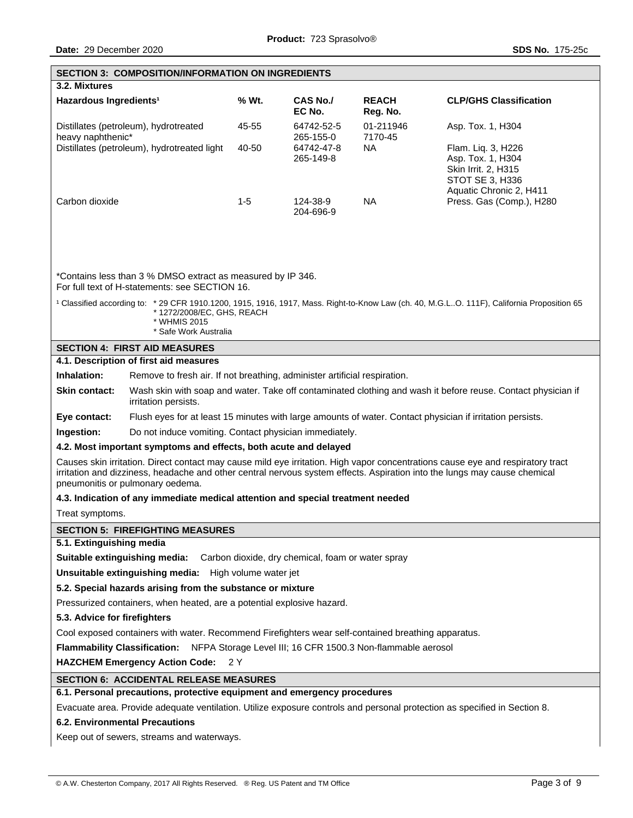|                                                                                                     | <b>SECTION 3: COMPOSITION/INFORMATION ON INGREDIENTS</b>                                                                                                                                                                                                                                                                                     |       |                                                   |                          |                                                                                                              |  |  |
|-----------------------------------------------------------------------------------------------------|----------------------------------------------------------------------------------------------------------------------------------------------------------------------------------------------------------------------------------------------------------------------------------------------------------------------------------------------|-------|---------------------------------------------------|--------------------------|--------------------------------------------------------------------------------------------------------------|--|--|
| 3.2. Mixtures                                                                                       |                                                                                                                                                                                                                                                                                                                                              |       |                                                   |                          |                                                                                                              |  |  |
| Hazardous Ingredients <sup>1</sup>                                                                  |                                                                                                                                                                                                                                                                                                                                              | % Wt. | <b>CAS No./</b><br>EC No.                         | <b>REACH</b><br>Reg. No. | <b>CLP/GHS Classification</b>                                                                                |  |  |
| heavy naphthenic*                                                                                   | Distillates (petroleum), hydrotreated                                                                                                                                                                                                                                                                                                        | 45-55 | 64742-52-5<br>265-155-0                           | 01-211946<br>7170-45     | Asp. Tox. 1, H304                                                                                            |  |  |
|                                                                                                     | Distillates (petroleum), hydrotreated light                                                                                                                                                                                                                                                                                                  | 40-50 | 64742-47-8<br>265-149-8                           | NA.                      | Flam. Liq. 3, H226<br>Asp. Tox. 1, H304<br>Skin Irrit. 2, H315<br>STOT SE 3, H336<br>Aquatic Chronic 2, H411 |  |  |
| Carbon dioxide                                                                                      |                                                                                                                                                                                                                                                                                                                                              | $1-5$ | 124-38-9<br>204-696-9                             | <b>NA</b>                | Press. Gas (Comp.), H280                                                                                     |  |  |
|                                                                                                     | *Contains less than 3 % DMSO extract as measured by IP 346.<br>For full text of H-statements: see SECTION 16.<br><sup>1</sup> Classified according to: * 29 CFR 1910.1200, 1915, 1916, 1917, Mass. Right-to-Know Law (ch. 40, M.G.LO. 111F), California Proposition 65<br>*1272/2008/EC, GHS, REACH<br>* WHMIS 2015<br>* Safe Work Australia |       |                                                   |                          |                                                                                                              |  |  |
|                                                                                                     | <b>SECTION 4: FIRST AID MEASURES</b>                                                                                                                                                                                                                                                                                                         |       |                                                   |                          |                                                                                                              |  |  |
|                                                                                                     | 4.1. Description of first aid measures                                                                                                                                                                                                                                                                                                       |       |                                                   |                          |                                                                                                              |  |  |
| Inhalation:                                                                                         | Remove to fresh air. If not breathing, administer artificial respiration.                                                                                                                                                                                                                                                                    |       |                                                   |                          |                                                                                                              |  |  |
| Skin contact:                                                                                       | Wash skin with soap and water. Take off contaminated clothing and wash it before reuse. Contact physician if<br>irritation persists.                                                                                                                                                                                                         |       |                                                   |                          |                                                                                                              |  |  |
| Eye contact:                                                                                        | Flush eyes for at least 15 minutes with large amounts of water. Contact physician if irritation persists.                                                                                                                                                                                                                                    |       |                                                   |                          |                                                                                                              |  |  |
| Ingestion:<br>Do not induce vomiting. Contact physician immediately.                                |                                                                                                                                                                                                                                                                                                                                              |       |                                                   |                          |                                                                                                              |  |  |
| 4.2. Most important symptoms and effects, both acute and delayed                                    |                                                                                                                                                                                                                                                                                                                                              |       |                                                   |                          |                                                                                                              |  |  |
|                                                                                                     | Causes skin irritation. Direct contact may cause mild eye irritation. High vapor concentrations cause eye and respiratory tract<br>irritation and dizziness, headache and other central nervous system effects. Aspiration into the lungs may cause chemical<br>pneumonitis or pulmonary oedema.                                             |       |                                                   |                          |                                                                                                              |  |  |
| 4.3. Indication of any immediate medical attention and special treatment needed                     |                                                                                                                                                                                                                                                                                                                                              |       |                                                   |                          |                                                                                                              |  |  |
| Treat symptoms.                                                                                     |                                                                                                                                                                                                                                                                                                                                              |       |                                                   |                          |                                                                                                              |  |  |
|                                                                                                     | <b>SECTION 5: FIREFIGHTING MEASURES</b>                                                                                                                                                                                                                                                                                                      |       |                                                   |                          |                                                                                                              |  |  |
| 5.1. Extinguishing media                                                                            |                                                                                                                                                                                                                                                                                                                                              |       |                                                   |                          |                                                                                                              |  |  |
|                                                                                                     | Suitable extinguishing media:                                                                                                                                                                                                                                                                                                                |       | Carbon dioxide, dry chemical, foam or water spray |                          |                                                                                                              |  |  |
|                                                                                                     | Unsuitable extinguishing media: High volume water jet                                                                                                                                                                                                                                                                                        |       |                                                   |                          |                                                                                                              |  |  |
|                                                                                                     | 5.2. Special hazards arising from the substance or mixture                                                                                                                                                                                                                                                                                   |       |                                                   |                          |                                                                                                              |  |  |
|                                                                                                     | Pressurized containers, when heated, are a potential explosive hazard.                                                                                                                                                                                                                                                                       |       |                                                   |                          |                                                                                                              |  |  |
|                                                                                                     | 5.3. Advice for firefighters                                                                                                                                                                                                                                                                                                                 |       |                                                   |                          |                                                                                                              |  |  |
| Cool exposed containers with water. Recommend Firefighters wear self-contained breathing apparatus. |                                                                                                                                                                                                                                                                                                                                              |       |                                                   |                          |                                                                                                              |  |  |
| <b>Flammability Classification:</b><br>NFPA Storage Level III; 16 CFR 1500.3 Non-flammable aerosol  |                                                                                                                                                                                                                                                                                                                                              |       |                                                   |                          |                                                                                                              |  |  |
|                                                                                                     | <b>HAZCHEM Emergency Action Code:</b><br>2 Y                                                                                                                                                                                                                                                                                                 |       |                                                   |                          |                                                                                                              |  |  |
| <b>SECTION 6: ACCIDENTAL RELEASE MEASURES</b>                                                       |                                                                                                                                                                                                                                                                                                                                              |       |                                                   |                          |                                                                                                              |  |  |
|                                                                                                     |                                                                                                                                                                                                                                                                                                                                              |       |                                                   |                          |                                                                                                              |  |  |
|                                                                                                     | 6.1. Personal precautions, protective equipment and emergency procedures<br>Evacuate area. Provide adequate ventilation. Utilize exposure controls and personal protection as specified in Section 8.                                                                                                                                        |       |                                                   |                          |                                                                                                              |  |  |
|                                                                                                     | <b>6.2. Environmental Precautions</b>                                                                                                                                                                                                                                                                                                        |       |                                                   |                          |                                                                                                              |  |  |
|                                                                                                     | Keep out of sewers, streams and waterways.                                                                                                                                                                                                                                                                                                   |       |                                                   |                          |                                                                                                              |  |  |
|                                                                                                     |                                                                                                                                                                                                                                                                                                                                              |       |                                                   |                          |                                                                                                              |  |  |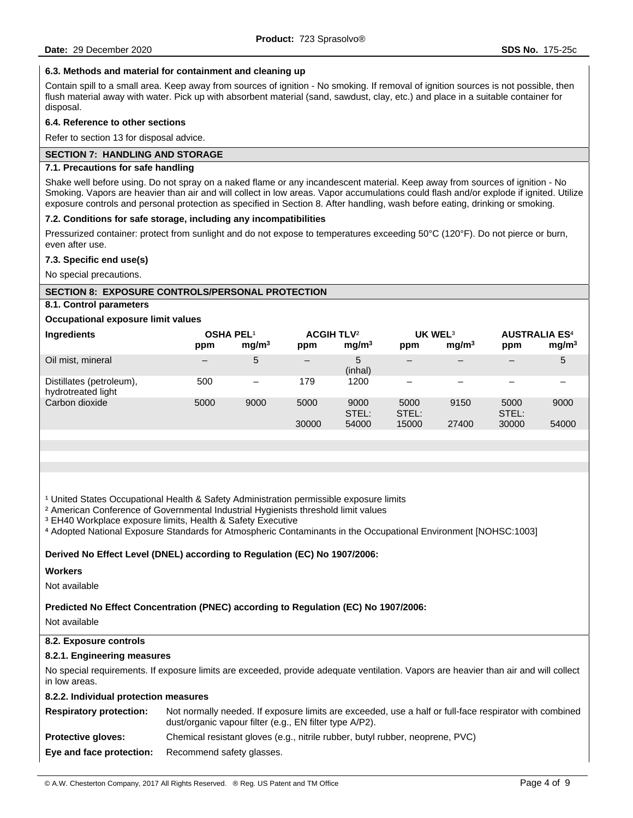## **6.3. Methods and material for containment and cleaning up**

Contain spill to a small area. Keep away from sources of ignition - No smoking. If removal of ignition sources is not possible, then flush material away with water. Pick up with absorbent material (sand, sawdust, clay, etc.) and place in a suitable container for disposal.

### **6.4. Reference to other sections**

Refer to section 13 for disposal advice.

## **SECTION 7: HANDLING AND STORAGE**

## **7.1. Precautions for safe handling**

Shake well before using. Do not spray on a naked flame or any incandescent material. Keep away from sources of ignition - No Smoking. Vapors are heavier than air and will collect in low areas. Vapor accumulations could flash and/or explode if ignited. Utilize exposure controls and personal protection as specified in Section 8. After handling, wash before eating, drinking or smoking.

### **7.2. Conditions for safe storage, including any incompatibilities**

Pressurized container: protect from sunlight and do not expose to temperatures exceeding 50°C (120°F). Do not pierce or burn, even after use.

#### **7.3. Specific end use(s)**

No special precautions.

### **SECTION 8: EXPOSURE CONTROLS/PERSONAL PROTECTION**

## **8.1. Control parameters**

### **Occupational exposure limit values**

| Ingredients                                    | <b>OSHA PEL1</b><br>ppm | mg/m <sup>3</sup> | <b>ACGIH TLV<sup>2</sup></b><br>ppm | mq/m <sup>3</sup>      | UK WEL <sup>3</sup><br>ppm | mq/m <sup>3</sup> | <b>AUSTRALIA ES<sup>4</sup></b><br>ppm | mg/m <sup>3</sup> |
|------------------------------------------------|-------------------------|-------------------|-------------------------------------|------------------------|----------------------------|-------------------|----------------------------------------|-------------------|
| Oil mist, mineral                              | —                       | 5                 | $\overline{\phantom{m}}$            | 5<br>(inhal)           | $\qquad \qquad -$          |                   |                                        | 5                 |
| Distillates (petroleum),<br>hydrotreated light | 500                     | $\qquad \qquad$   | 179                                 | 1200                   | $\overline{\phantom{0}}$   |                   |                                        |                   |
| Carbon dioxide                                 | 5000                    | 9000              | 5000<br>30000                       | 9000<br>STEL:<br>54000 | 5000<br>STEL:<br>15000     | 9150<br>27400     | 5000<br>STEL:<br>30000                 | 9000<br>54000     |
|                                                |                         |                   |                                     |                        |                            |                   |                                        |                   |

<sup>1</sup> United States Occupational Health & Safety Administration permissible exposure limits

² American Conference of Governmental Industrial Hygienists threshold limit values

³ EH40 Workplace exposure limits, Health & Safety Executive

⁴ Adopted National Exposure Standards for Atmospheric Contaminants in the Occupational Environment [NOHSC:1003]

**Derived No Effect Level (DNEL) according to Regulation (EC) No 1907/2006:** 

#### **Workers**

Not available

**Predicted No Effect Concentration (PNEC) according to Regulation (EC) No 1907/2006:** 

Not available

## **8.2. Exposure controls**

## **8.2.1. Engineering measures**

No special requirements. If exposure limits are exceeded, provide adequate ventilation. Vapors are heavier than air and will collect in low areas.

### **8.2.2. Individual protection measures**

| <b>Respiratory protection:</b> | Not normally needed. If exposure limits are exceeded, use a half or full-face respirator with combined<br>dust/organic vapour filter (e.g., EN filter type A/P2). |
|--------------------------------|-------------------------------------------------------------------------------------------------------------------------------------------------------------------|
| <b>Protective gloves:</b>      | Chemical resistant gloves (e.g., nitrile rubber, butyl rubber, neoprene, PVC)                                                                                     |
|                                | <b>Eye and face protection:</b> Recommend safety glasses.                                                                                                         |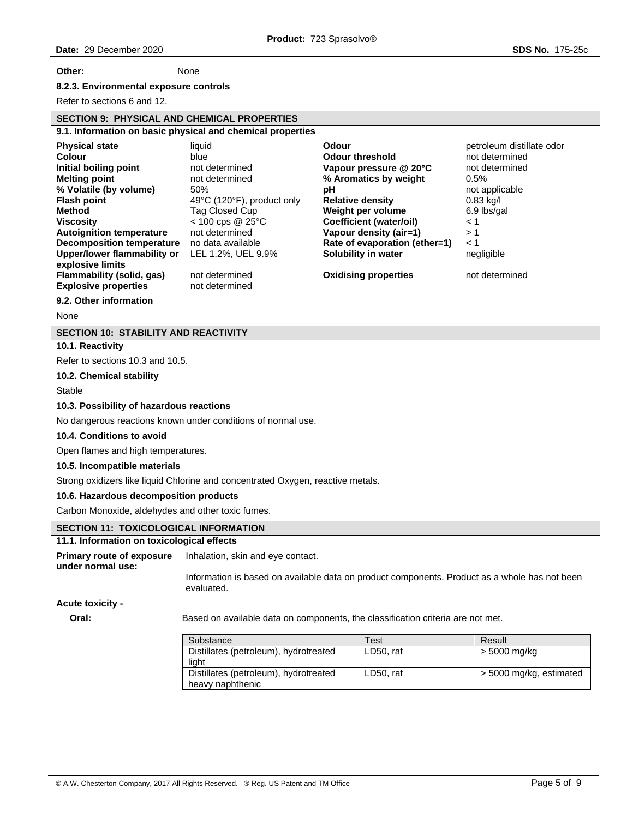| Other:                                                                                                                                                                                                                                                                                                                                                      | None                                                                                                                                                                                                                           |             |                                                                                                                                                                                                                                                                              |                                                                                                                                                                                     |  |
|-------------------------------------------------------------------------------------------------------------------------------------------------------------------------------------------------------------------------------------------------------------------------------------------------------------------------------------------------------------|--------------------------------------------------------------------------------------------------------------------------------------------------------------------------------------------------------------------------------|-------------|------------------------------------------------------------------------------------------------------------------------------------------------------------------------------------------------------------------------------------------------------------------------------|-------------------------------------------------------------------------------------------------------------------------------------------------------------------------------------|--|
| 8.2.3. Environmental exposure controls                                                                                                                                                                                                                                                                                                                      |                                                                                                                                                                                                                                |             |                                                                                                                                                                                                                                                                              |                                                                                                                                                                                     |  |
| Refer to sections 6 and 12.                                                                                                                                                                                                                                                                                                                                 |                                                                                                                                                                                                                                |             |                                                                                                                                                                                                                                                                              |                                                                                                                                                                                     |  |
| <b>SECTION 9: PHYSICAL AND CHEMICAL PROPERTIES</b>                                                                                                                                                                                                                                                                                                          |                                                                                                                                                                                                                                |             |                                                                                                                                                                                                                                                                              |                                                                                                                                                                                     |  |
|                                                                                                                                                                                                                                                                                                                                                             | 9.1. Information on basic physical and chemical properties                                                                                                                                                                     |             |                                                                                                                                                                                                                                                                              |                                                                                                                                                                                     |  |
| <b>Physical state</b><br>Colour<br>Initial boiling point<br><b>Melting point</b><br>% Volatile (by volume)<br><b>Flash point</b><br>Method<br><b>Viscosity</b><br><b>Autoignition temperature</b><br><b>Decomposition temperature</b><br><b>Upper/lower flammability or</b><br>explosive limits<br>Flammability (solid, gas)<br><b>Explosive properties</b> | liquid<br>blue<br>not determined<br>not determined<br>50%<br>49°C (120°F), product only<br>Tag Closed Cup<br>< 100 cps @ 25°C<br>not determined<br>no data available<br>LEL 1.2%, UEL 9.9%<br>not determined<br>not determined | Odour<br>pH | <b>Odour threshold</b><br>Vapour pressure @ 20°C<br>% Aromatics by weight<br><b>Relative density</b><br>Weight per volume<br><b>Coefficient (water/oil)</b><br>Vapour density (air=1)<br>Rate of evaporation (ether=1)<br>Solubility in water<br><b>Oxidising properties</b> | petroleum distillate odor<br>not determined<br>not determined<br>0.5%<br>not applicable<br>$0.83$ kg/l<br>6.9 lbs/gal<br>$\leq 1$<br>>1<br>$\leq 1$<br>negligible<br>not determined |  |
| 9.2. Other information                                                                                                                                                                                                                                                                                                                                      |                                                                                                                                                                                                                                |             |                                                                                                                                                                                                                                                                              |                                                                                                                                                                                     |  |
| None                                                                                                                                                                                                                                                                                                                                                        |                                                                                                                                                                                                                                |             |                                                                                                                                                                                                                                                                              |                                                                                                                                                                                     |  |
| <b>SECTION 10: STABILITY AND REACTIVITY</b>                                                                                                                                                                                                                                                                                                                 |                                                                                                                                                                                                                                |             |                                                                                                                                                                                                                                                                              |                                                                                                                                                                                     |  |
| 10.1. Reactivity                                                                                                                                                                                                                                                                                                                                            |                                                                                                                                                                                                                                |             |                                                                                                                                                                                                                                                                              |                                                                                                                                                                                     |  |
| Refer to sections 10.3 and 10.5.                                                                                                                                                                                                                                                                                                                            |                                                                                                                                                                                                                                |             |                                                                                                                                                                                                                                                                              |                                                                                                                                                                                     |  |
| 10.2. Chemical stability                                                                                                                                                                                                                                                                                                                                    |                                                                                                                                                                                                                                |             |                                                                                                                                                                                                                                                                              |                                                                                                                                                                                     |  |
| <b>Stable</b>                                                                                                                                                                                                                                                                                                                                               |                                                                                                                                                                                                                                |             |                                                                                                                                                                                                                                                                              |                                                                                                                                                                                     |  |
| 10.3. Possibility of hazardous reactions                                                                                                                                                                                                                                                                                                                    |                                                                                                                                                                                                                                |             |                                                                                                                                                                                                                                                                              |                                                                                                                                                                                     |  |
| 10.4. Conditions to avoid                                                                                                                                                                                                                                                                                                                                   | No dangerous reactions known under conditions of normal use.                                                                                                                                                                   |             |                                                                                                                                                                                                                                                                              |                                                                                                                                                                                     |  |
|                                                                                                                                                                                                                                                                                                                                                             |                                                                                                                                                                                                                                |             |                                                                                                                                                                                                                                                                              |                                                                                                                                                                                     |  |
| Open flames and high temperatures.                                                                                                                                                                                                                                                                                                                          |                                                                                                                                                                                                                                |             |                                                                                                                                                                                                                                                                              |                                                                                                                                                                                     |  |
| 10.5. Incompatible materials                                                                                                                                                                                                                                                                                                                                |                                                                                                                                                                                                                                |             |                                                                                                                                                                                                                                                                              |                                                                                                                                                                                     |  |
|                                                                                                                                                                                                                                                                                                                                                             | Strong oxidizers like liquid Chlorine and concentrated Oxygen, reactive metals.                                                                                                                                                |             |                                                                                                                                                                                                                                                                              |                                                                                                                                                                                     |  |
| 10.6. Hazardous decomposition products                                                                                                                                                                                                                                                                                                                      |                                                                                                                                                                                                                                |             |                                                                                                                                                                                                                                                                              |                                                                                                                                                                                     |  |
| Carbon Monoxide, aldehydes and other toxic fumes.                                                                                                                                                                                                                                                                                                           |                                                                                                                                                                                                                                |             |                                                                                                                                                                                                                                                                              |                                                                                                                                                                                     |  |
| <b>SECTION 11: TOXICOLOGICAL INFORMATION</b>                                                                                                                                                                                                                                                                                                                |                                                                                                                                                                                                                                |             |                                                                                                                                                                                                                                                                              |                                                                                                                                                                                     |  |
| 11.1. Information on toxicological effects<br><b>Primary route of exposure</b>                                                                                                                                                                                                                                                                              | Inhalation, skin and eye contact.                                                                                                                                                                                              |             |                                                                                                                                                                                                                                                                              |                                                                                                                                                                                     |  |
| under normal use:                                                                                                                                                                                                                                                                                                                                           |                                                                                                                                                                                                                                |             |                                                                                                                                                                                                                                                                              |                                                                                                                                                                                     |  |
|                                                                                                                                                                                                                                                                                                                                                             | Information is based on available data on product components. Product as a whole has not been<br>evaluated.                                                                                                                    |             |                                                                                                                                                                                                                                                                              |                                                                                                                                                                                     |  |
| Acute toxicity -                                                                                                                                                                                                                                                                                                                                            |                                                                                                                                                                                                                                |             |                                                                                                                                                                                                                                                                              |                                                                                                                                                                                     |  |
| Oral:                                                                                                                                                                                                                                                                                                                                                       | Based on available data on components, the classification criteria are not met.                                                                                                                                                |             |                                                                                                                                                                                                                                                                              |                                                                                                                                                                                     |  |
|                                                                                                                                                                                                                                                                                                                                                             | Substance                                                                                                                                                                                                                      |             | <b>Test</b>                                                                                                                                                                                                                                                                  | Result                                                                                                                                                                              |  |
|                                                                                                                                                                                                                                                                                                                                                             | Distillates (petroleum), hydrotreated<br>light                                                                                                                                                                                 |             | LD50, rat                                                                                                                                                                                                                                                                    | $> 5000$ mg/kg                                                                                                                                                                      |  |
|                                                                                                                                                                                                                                                                                                                                                             | Distillates (petroleum), hydrotreated<br>heavy naphthenic                                                                                                                                                                      |             | LD50, rat                                                                                                                                                                                                                                                                    | > 5000 mg/kg, estimated                                                                                                                                                             |  |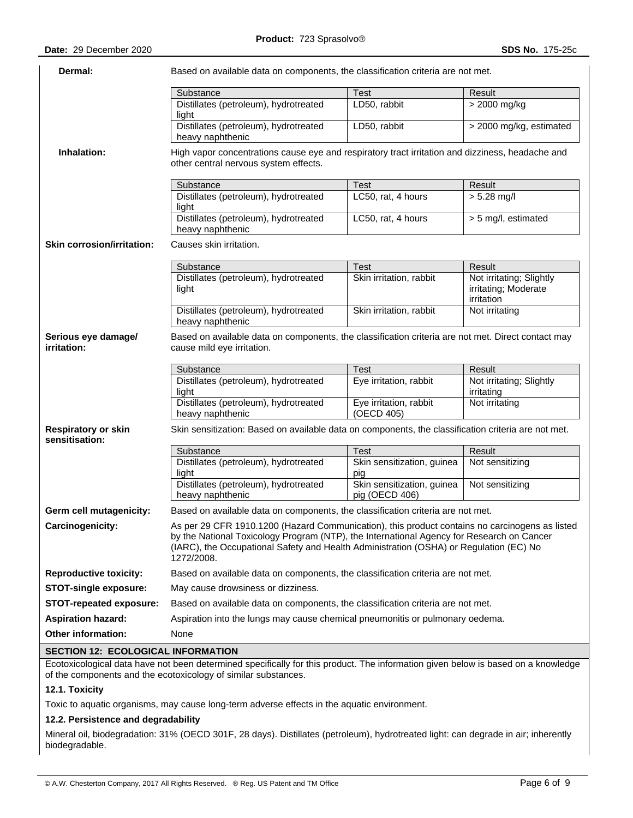| Dermal:                                      | Based on available data on components, the classification criteria are not met.                                                                                                                                                                                                                     |                                              |                                                                |  |  |  |  |
|----------------------------------------------|-----------------------------------------------------------------------------------------------------------------------------------------------------------------------------------------------------------------------------------------------------------------------------------------------------|----------------------------------------------|----------------------------------------------------------------|--|--|--|--|
|                                              | Substance                                                                                                                                                                                                                                                                                           | <b>Test</b>                                  | Result                                                         |  |  |  |  |
|                                              | Distillates (petroleum), hydrotreated<br>light                                                                                                                                                                                                                                                      | LD50, rabbit                                 | $> 2000$ mg/kg                                                 |  |  |  |  |
|                                              | Distillates (petroleum), hydrotreated<br>heavy naphthenic                                                                                                                                                                                                                                           | LD50, rabbit                                 | > 2000 mg/kg, estimated                                        |  |  |  |  |
| Inhalation:                                  | High vapor concentrations cause eye and respiratory tract irritation and dizziness, headache and<br>other central nervous system effects.                                                                                                                                                           |                                              |                                                                |  |  |  |  |
|                                              | Substance                                                                                                                                                                                                                                                                                           | Test                                         | Result                                                         |  |  |  |  |
|                                              | Distillates (petroleum), hydrotreated<br>light                                                                                                                                                                                                                                                      | LC50, rat, 4 hours                           | $> 5.28$ mg/l                                                  |  |  |  |  |
|                                              | Distillates (petroleum), hydrotreated<br>heavy naphthenic                                                                                                                                                                                                                                           | LC50, rat, 4 hours                           | > 5 mg/l, estimated                                            |  |  |  |  |
| <b>Skin corrosion/irritation:</b>            | Causes skin irritation.                                                                                                                                                                                                                                                                             |                                              |                                                                |  |  |  |  |
|                                              | Substance                                                                                                                                                                                                                                                                                           | <b>Test</b>                                  | Result                                                         |  |  |  |  |
|                                              | Distillates (petroleum), hydrotreated<br>light                                                                                                                                                                                                                                                      | Skin irritation, rabbit                      | Not irritating; Slightly<br>irritating; Moderate<br>irritation |  |  |  |  |
|                                              | Distillates (petroleum), hydrotreated<br>heavy naphthenic                                                                                                                                                                                                                                           | Skin irritation, rabbit                      | Not irritating                                                 |  |  |  |  |
| Serious eye damage/<br>irritation:           | Based on available data on components, the classification criteria are not met. Direct contact may<br>cause mild eye irritation.                                                                                                                                                                    |                                              |                                                                |  |  |  |  |
|                                              | Substance                                                                                                                                                                                                                                                                                           | Test                                         | Result                                                         |  |  |  |  |
|                                              | Distillates (petroleum), hydrotreated<br>light                                                                                                                                                                                                                                                      | Eye irritation, rabbit                       | Not irritating; Slightly<br>irritating                         |  |  |  |  |
|                                              | Distillates (petroleum), hydrotreated<br>heavy naphthenic                                                                                                                                                                                                                                           | Eye irritation, rabbit<br>(OECD 405)         | Not irritating                                                 |  |  |  |  |
| <b>Respiratory or skin</b><br>sensitisation: | Skin sensitization: Based on available data on components, the classification criteria are not met.                                                                                                                                                                                                 |                                              |                                                                |  |  |  |  |
|                                              | Substance                                                                                                                                                                                                                                                                                           | Test                                         | Result                                                         |  |  |  |  |
|                                              | Distillates (petroleum), hydrotreated<br>light                                                                                                                                                                                                                                                      | Skin sensitization, guinea<br>pig            | Not sensitizing                                                |  |  |  |  |
|                                              | Distillates (petroleum), hydrotreated<br>heavy naphthenic                                                                                                                                                                                                                                           | Skin sensitization, guinea<br>pig (OECD 406) | Not sensitizing                                                |  |  |  |  |
| Germ cell mutagenicity:                      | Based on available data on components, the classification criteria are not met.                                                                                                                                                                                                                     |                                              |                                                                |  |  |  |  |
| Carcinogenicity:                             | As per 29 CFR 1910.1200 (Hazard Communication), this product contains no carcinogens as listed<br>by the National Toxicology Program (NTP), the International Agency for Research on Cancer<br>(IARC), the Occupational Safety and Health Administration (OSHA) or Regulation (EC) No<br>1272/2008. |                                              |                                                                |  |  |  |  |
| <b>Reproductive toxicity:</b>                | Based on available data on components, the classification criteria are not met.                                                                                                                                                                                                                     |                                              |                                                                |  |  |  |  |
| <b>STOT-single exposure:</b>                 | May cause drowsiness or dizziness.                                                                                                                                                                                                                                                                  |                                              |                                                                |  |  |  |  |
| <b>STOT-repeated exposure:</b>               | Based on available data on components, the classification criteria are not met.                                                                                                                                                                                                                     |                                              |                                                                |  |  |  |  |
| <b>Aspiration hazard:</b>                    | Aspiration into the lungs may cause chemical pneumonitis or pulmonary oedema.                                                                                                                                                                                                                       |                                              |                                                                |  |  |  |  |
| <b>Other information:</b>                    | None                                                                                                                                                                                                                                                                                                |                                              |                                                                |  |  |  |  |
| <b>SECTION 12: ECOLOGICAL INFORMATION</b>    |                                                                                                                                                                                                                                                                                                     |                                              |                                                                |  |  |  |  |
|                                              | Ecotoxicological data have not been determined specifically for this product. The information given below is hased on a knowledge                                                                                                                                                                   |                                              |                                                                |  |  |  |  |

Ecotoxicological data have not been determined specifically for this product. The information given below is based on a knowledge of the components and the ecotoxicology of similar substances.

# **12.1. Toxicity**

Toxic to aquatic organisms, may cause long-term adverse effects in the aquatic environment.

# **12.2. Persistence and degradability**

Mineral oil, biodegradation: 31% (OECD 301F, 28 days). Distillates (petroleum), hydrotreated light: can degrade in air; inherently biodegradable.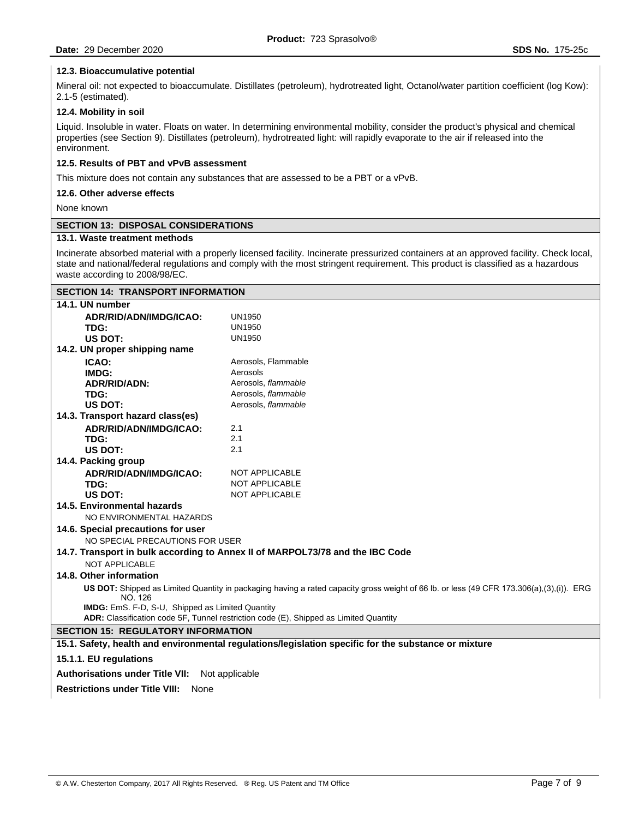## **12.3. Bioaccumulative potential**

Mineral oil: not expected to bioaccumulate. Distillates (petroleum), hydrotreated light, Octanol/water partition coefficient (log Kow): 2.1-5 (estimated).

## **12.4. Mobility in soil**

Liquid. Insoluble in water. Floats on water. In determining environmental mobility, consider the product's physical and chemical properties (see Section 9). Distillates (petroleum), hydrotreated light: will rapidly evaporate to the air if released into the environment.

#### **12.5. Results of PBT and vPvB assessment**

This mixture does not contain any substances that are assessed to be a PBT or a vPvB.

## **12.6. Other adverse effects**

None known

### **SECTION 13: DISPOSAL CONSIDERATIONS**

# **13.1. Waste treatment methods**

Incinerate absorbed material with a properly licensed facility. Incinerate pressurized containers at an approved facility. Check local, state and national/federal regulations and comply with the most stringent requirement. This product is classified as a hazardous waste according to 2008/98/EC.

| <b>SECTION 14: TRANSPORT INFORMATION</b>                                                                                                            |                                                                                                      |  |  |  |
|-----------------------------------------------------------------------------------------------------------------------------------------------------|------------------------------------------------------------------------------------------------------|--|--|--|
| 14.1. UN number                                                                                                                                     |                                                                                                      |  |  |  |
| ADR/RID/ADN/IMDG/ICAO:                                                                                                                              | UN1950                                                                                               |  |  |  |
| TDG:                                                                                                                                                | <b>UN1950</b>                                                                                        |  |  |  |
| US DOT:                                                                                                                                             | <b>UN1950</b>                                                                                        |  |  |  |
| 14.2. UN proper shipping name                                                                                                                       |                                                                                                      |  |  |  |
| ICAO:                                                                                                                                               | Aerosols, Flammable                                                                                  |  |  |  |
| IMDG:                                                                                                                                               | Aerosols                                                                                             |  |  |  |
| <b>ADR/RID/ADN:</b>                                                                                                                                 | Aerosols, flammable                                                                                  |  |  |  |
| TDG:                                                                                                                                                | Aerosols, flammable                                                                                  |  |  |  |
| US DOT:                                                                                                                                             | Aerosols, flammable                                                                                  |  |  |  |
| 14.3. Transport hazard class(es)                                                                                                                    |                                                                                                      |  |  |  |
| ADR/RID/ADN/IMDG/ICAO:                                                                                                                              | 2.1                                                                                                  |  |  |  |
| TDG:                                                                                                                                                | 2.1                                                                                                  |  |  |  |
| <b>US DOT:</b>                                                                                                                                      | 2.1                                                                                                  |  |  |  |
| 14.4. Packing group                                                                                                                                 |                                                                                                      |  |  |  |
| ADR/RID/ADN/IMDG/ICAO:                                                                                                                              | NOT APPLICABLE                                                                                       |  |  |  |
| TDG:                                                                                                                                                | NOT APPLICABLE                                                                                       |  |  |  |
| US DOT:                                                                                                                                             | <b>NOT APPLICABLE</b>                                                                                |  |  |  |
| 14.5. Environmental hazards                                                                                                                         |                                                                                                      |  |  |  |
| NO ENVIRONMENTAL HAZARDS                                                                                                                            |                                                                                                      |  |  |  |
| 14.6. Special precautions for user                                                                                                                  |                                                                                                      |  |  |  |
| NO SPECIAL PRECAUTIONS FOR USER                                                                                                                     |                                                                                                      |  |  |  |
|                                                                                                                                                     | 14.7. Transport in bulk according to Annex II of MARPOL73/78 and the IBC Code                        |  |  |  |
| NOT APPLICABLE                                                                                                                                      |                                                                                                      |  |  |  |
| 14.8. Other information                                                                                                                             |                                                                                                      |  |  |  |
| US DOT: Shipped as Limited Quantity in packaging having a rated capacity gross weight of 66 lb. or less (49 CFR 173.306(a),(3),(i)). ERG<br>NO. 126 |                                                                                                      |  |  |  |
| <b>IMDG:</b> EmS. F-D, S-U, Shipped as Limited Quantity                                                                                             |                                                                                                      |  |  |  |
| ADR: Classification code 5F, Tunnel restriction code (E), Shipped as Limited Quantity                                                               |                                                                                                      |  |  |  |
| <b>SECTION 15: REGULATORY INFORMATION</b>                                                                                                           |                                                                                                      |  |  |  |
|                                                                                                                                                     | 15.1. Safety, health and environmental regulations/legislation specific for the substance or mixture |  |  |  |
| 15.1.1. EU regulations                                                                                                                              |                                                                                                      |  |  |  |
| <b>Authorisations under Title VII:</b>                                                                                                              | Not applicable                                                                                       |  |  |  |
| <b>Restrictions under Title VIII:</b><br>None                                                                                                       |                                                                                                      |  |  |  |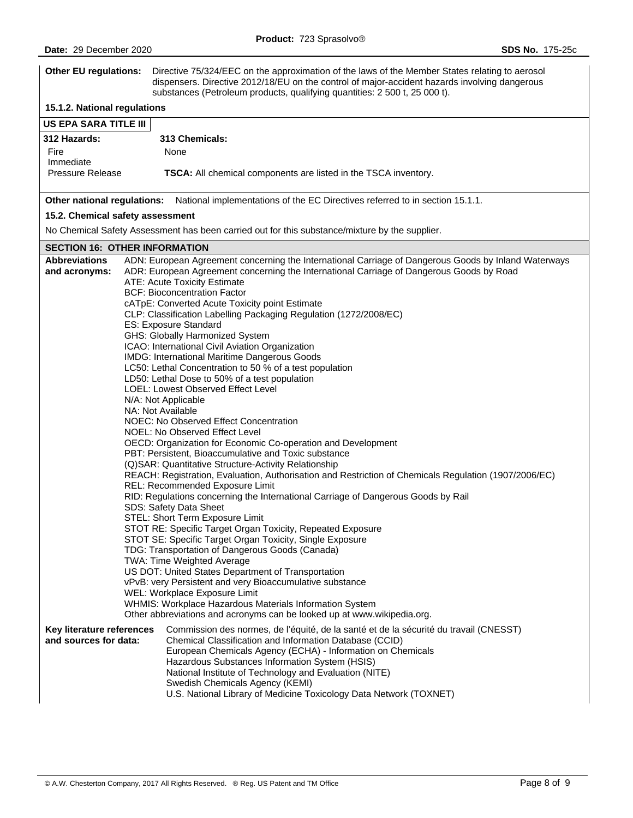| <b>Other EU regulations:</b>                                                                             | Directive 75/324/EEC on the approximation of the laws of the Member States relating to aerosol<br>dispensers. Directive 2012/18/EU on the control of major-accident hazards involving dangerous<br>substances (Petroleum products, qualifying quantities: 2 500 t, 25 000 t).                                                                                                                                                                                                                                                                                                                                                                                                                                                                                                                                                                                                                                                                                                                                                                                                                                                                                                                                                                                                                                                                                                                                                                                                                                                                                                                                                                                                                                                                  |  |  |  |  |  |
|----------------------------------------------------------------------------------------------------------|------------------------------------------------------------------------------------------------------------------------------------------------------------------------------------------------------------------------------------------------------------------------------------------------------------------------------------------------------------------------------------------------------------------------------------------------------------------------------------------------------------------------------------------------------------------------------------------------------------------------------------------------------------------------------------------------------------------------------------------------------------------------------------------------------------------------------------------------------------------------------------------------------------------------------------------------------------------------------------------------------------------------------------------------------------------------------------------------------------------------------------------------------------------------------------------------------------------------------------------------------------------------------------------------------------------------------------------------------------------------------------------------------------------------------------------------------------------------------------------------------------------------------------------------------------------------------------------------------------------------------------------------------------------------------------------------------------------------------------------------|--|--|--|--|--|
| 15.1.2. National regulations                                                                             |                                                                                                                                                                                                                                                                                                                                                                                                                                                                                                                                                                                                                                                                                                                                                                                                                                                                                                                                                                                                                                                                                                                                                                                                                                                                                                                                                                                                                                                                                                                                                                                                                                                                                                                                                |  |  |  |  |  |
| <b>US EPA SARA TITLE III</b>                                                                             |                                                                                                                                                                                                                                                                                                                                                                                                                                                                                                                                                                                                                                                                                                                                                                                                                                                                                                                                                                                                                                                                                                                                                                                                                                                                                                                                                                                                                                                                                                                                                                                                                                                                                                                                                |  |  |  |  |  |
| <b>312 Hazards:</b>                                                                                      | 313 Chemicals:                                                                                                                                                                                                                                                                                                                                                                                                                                                                                                                                                                                                                                                                                                                                                                                                                                                                                                                                                                                                                                                                                                                                                                                                                                                                                                                                                                                                                                                                                                                                                                                                                                                                                                                                 |  |  |  |  |  |
| Fire                                                                                                     | None                                                                                                                                                                                                                                                                                                                                                                                                                                                                                                                                                                                                                                                                                                                                                                                                                                                                                                                                                                                                                                                                                                                                                                                                                                                                                                                                                                                                                                                                                                                                                                                                                                                                                                                                           |  |  |  |  |  |
| Immediate                                                                                                |                                                                                                                                                                                                                                                                                                                                                                                                                                                                                                                                                                                                                                                                                                                                                                                                                                                                                                                                                                                                                                                                                                                                                                                                                                                                                                                                                                                                                                                                                                                                                                                                                                                                                                                                                |  |  |  |  |  |
| <b>Pressure Release</b><br>TSCA: All chemical components are listed in the TSCA inventory.               |                                                                                                                                                                                                                                                                                                                                                                                                                                                                                                                                                                                                                                                                                                                                                                                                                                                                                                                                                                                                                                                                                                                                                                                                                                                                                                                                                                                                                                                                                                                                                                                                                                                                                                                                                |  |  |  |  |  |
| Other national regulations: National implementations of the EC Directives referred to in section 15.1.1. |                                                                                                                                                                                                                                                                                                                                                                                                                                                                                                                                                                                                                                                                                                                                                                                                                                                                                                                                                                                                                                                                                                                                                                                                                                                                                                                                                                                                                                                                                                                                                                                                                                                                                                                                                |  |  |  |  |  |
| 15.2. Chemical safety assessment                                                                         |                                                                                                                                                                                                                                                                                                                                                                                                                                                                                                                                                                                                                                                                                                                                                                                                                                                                                                                                                                                                                                                                                                                                                                                                                                                                                                                                                                                                                                                                                                                                                                                                                                                                                                                                                |  |  |  |  |  |
|                                                                                                          | No Chemical Safety Assessment has been carried out for this substance/mixture by the supplier.                                                                                                                                                                                                                                                                                                                                                                                                                                                                                                                                                                                                                                                                                                                                                                                                                                                                                                                                                                                                                                                                                                                                                                                                                                                                                                                                                                                                                                                                                                                                                                                                                                                 |  |  |  |  |  |
| <b>SECTION 16: OTHER INFORMATION</b>                                                                     |                                                                                                                                                                                                                                                                                                                                                                                                                                                                                                                                                                                                                                                                                                                                                                                                                                                                                                                                                                                                                                                                                                                                                                                                                                                                                                                                                                                                                                                                                                                                                                                                                                                                                                                                                |  |  |  |  |  |
| <b>Abbreviations</b><br>and acronyms:                                                                    | ADN: European Agreement concerning the International Carriage of Dangerous Goods by Inland Waterways<br>ADR: European Agreement concerning the International Carriage of Dangerous Goods by Road<br>ATE: Acute Toxicity Estimate<br><b>BCF: Bioconcentration Factor</b><br>cATpE: Converted Acute Toxicity point Estimate<br>CLP: Classification Labelling Packaging Regulation (1272/2008/EC)<br>ES: Exposure Standard<br>GHS: Globally Harmonized System<br>ICAO: International Civil Aviation Organization<br>IMDG: International Maritime Dangerous Goods<br>LC50: Lethal Concentration to 50 % of a test population<br>LD50: Lethal Dose to 50% of a test population<br>LOEL: Lowest Observed Effect Level<br>N/A: Not Applicable<br>NA: Not Available<br>NOEC: No Observed Effect Concentration<br>NOEL: No Observed Effect Level<br>OECD: Organization for Economic Co-operation and Development<br>PBT: Persistent, Bioaccumulative and Toxic substance<br>(Q)SAR: Quantitative Structure-Activity Relationship<br>REACH: Registration, Evaluation, Authorisation and Restriction of Chemicals Regulation (1907/2006/EC)<br>REL: Recommended Exposure Limit<br>RID: Regulations concerning the International Carriage of Dangerous Goods by Rail<br>SDS: Safety Data Sheet<br>STEL: Short Term Exposure Limit<br>STOT RE: Specific Target Organ Toxicity, Repeated Exposure<br>STOT SE: Specific Target Organ Toxicity, Single Exposure<br>TDG: Transportation of Dangerous Goods (Canada)<br>TWA: Time Weighted Average<br>US DOT: United States Department of Transportation<br>vPvB: very Persistent and very Bioaccumulative substance<br>WEL: Workplace Exposure Limit<br>WHMIS: Workplace Hazardous Materials Information System |  |  |  |  |  |
| Key literature references<br>and sources for data:                                                       | Other abbreviations and acronyms can be looked up at www.wikipedia.org.<br>Commission des normes, de l'équité, de la santé et de la sécurité du travail (CNESST)<br>Chemical Classification and Information Database (CCID)<br>European Chemicals Agency (ECHA) - Information on Chemicals<br>Hazardous Substances Information System (HSIS)<br>National Institute of Technology and Evaluation (NITE)<br>Swedish Chemicals Agency (KEMI)<br>U.S. National Library of Medicine Toxicology Data Network (TOXNET)                                                                                                                                                                                                                                                                                                                                                                                                                                                                                                                                                                                                                                                                                                                                                                                                                                                                                                                                                                                                                                                                                                                                                                                                                                |  |  |  |  |  |